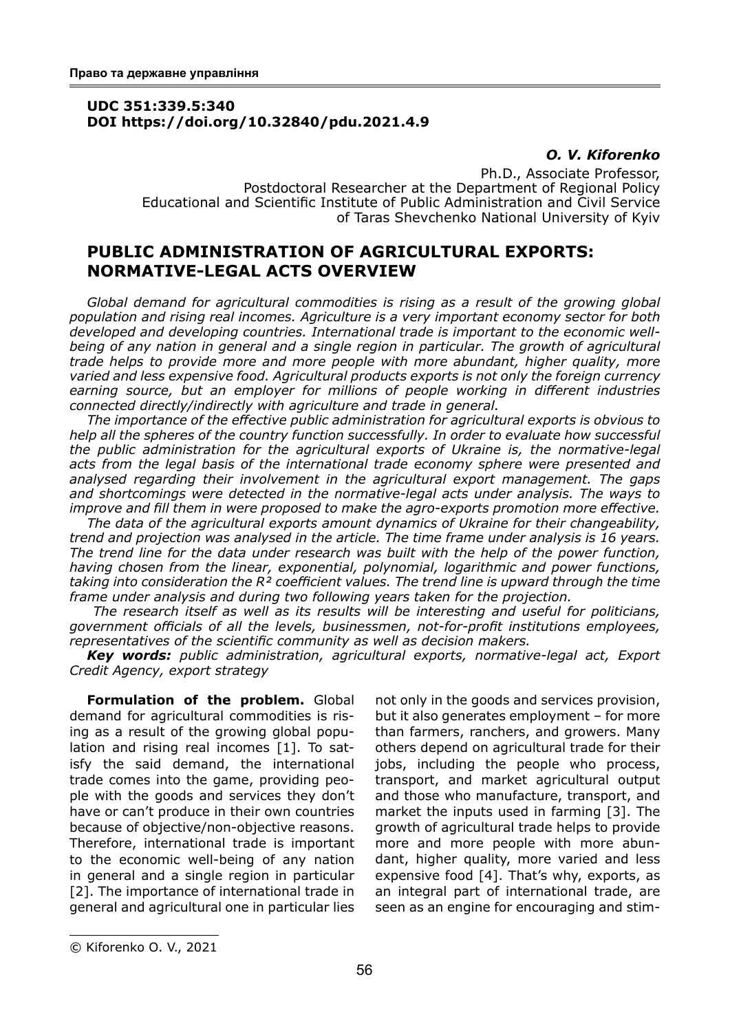## **UDC 351:339.5:340 DOI https://doi.org/10.32840/pdu.2021.4.9**

### *O. V. Kiforenko*

Ph.D., Associate Professor, Postdoctoral Researcher at the Department of Regional Policy Educational and Scientific Institute of Public Administration and Civil Service of Taras Shevchenko National University of Kyiv

# **PUBLIC ADMINISTRATION OF AGRICULTURAL EXPORTS: NORMATIVE-LEGAL ACTS OVERVIEW**

*Global demand for agricultural commodities is rising as a result of the growing global population and rising real incomes. Agriculture is a very important economy sector for both developed and developing countries. International trade is important to the economic wellbeing of any nation in general and a single region in particular. The growth of agricultural trade helps to provide more and more people with more abundant, higher quality, more varied and less expensive food. Agricultural products exports is not only the foreign currency earning source, but an employer for millions of people working in different industries connected directly/indirectly with agriculture and trade in general.*

*The importance of the effective public administration for agricultural exports is obvious to help all the spheres of the country function successfully. In order to evaluate how successful the public administration for the agricultural exports of Ukraine is, the normative-legal acts from the legal basis of the international trade economy sphere were presented and analysed regarding their involvement in the agricultural export management. The gaps and shortcomings were detected in the normative-legal acts under analysis. The ways to improve and fill them in were proposed to make the agro-exports promotion more effective.*

*The data of the agricultural exports amount dynamics of Ukraine for their changeability, trend and projection was analysed in the article. The time frame under analysis is 16 years. The trend line for the data under research was built with the help of the power function, having chosen from the linear, exponential, polynomial, logarithmic and power functions, taking into consideration the R² coefficient values. The trend line is upward through the time frame under analysis and during two following years taken for the projection.*

 *The research itself as well as its results will be interesting and useful for politicians, government officials of all the levels, businessmen, not-for-profit institutions employees, representatives of the scientific community as well as decision makers.*

*Key words: public administration, agricultural exports, normative-legal act, Export Credit Agency, export strategy*

**Formulation of the problem.** Global demand for agricultural commodities is rising as a result of the growing global population and rising real incomes [1]. To satisfy the said demand, the international trade comes into the game, providing people with the goods and services they don't have or can't produce in their own countries because of objective/non-objective reasons. Therefore, international trade is important to the economic well-being of any nation in general and a single region in particular [2]. The importance of international trade in general and agricultural one in particular lies

not only in the goods and services provision, but it also generates employment – for more than farmers, ranchers, and growers. Many others depend on agricultural trade for their jobs, including the people who process, transport, and market agricultural output and those who manufacture, transport, and market the inputs used in farming [3]. The growth of agricultural trade helps to provide more and more people with more abundant, higher quality, more varied and less expensive food [4]. That's why, exports, as an integral part of international trade, are seen as an engine for encouraging and stim-

<sup>©</sup> Kiforenko O. V., 2021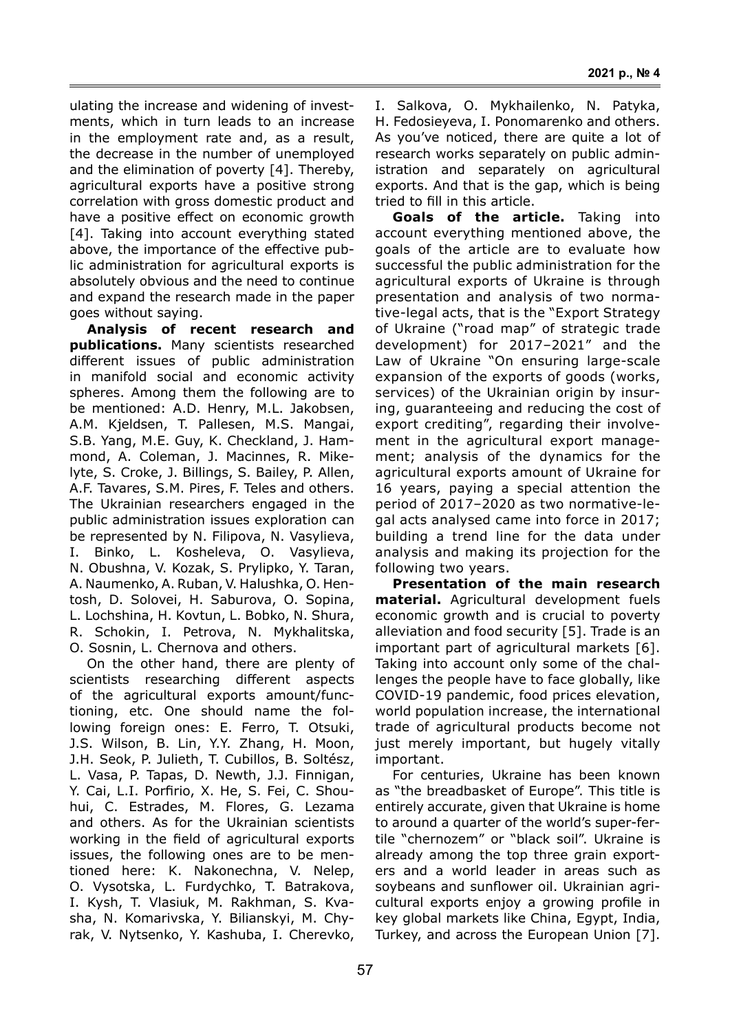ulating the increase and widening of investments, which in turn leads to an increase in the employment rate and, as a result, the decrease in the number of unemployed and the elimination of poverty [4]. Thereby, agricultural exports have a positive strong correlation with gross domestic product and have a positive effect on economic growth [4]. Taking into account everything stated above, the importance of the effective public administration for agricultural exports is absolutely obvious and the need to continue and expand the research made in the paper goes without saying.

**Analysis of recent research and publications.** Many scientists researched different issues of public administration in manifold social and economic activity spheres. Among them the following are to be mentioned: A.D. Henry, M.L. Jakobsen, A.M. Kjeldsen, T. Pallesen, M.S. Mangai, S.B. Yang, M.E. Guy, K. Checkland, J. Hammond, A. Coleman, J. Macinnes, R. Mikelyte, S. Croke, J. Billings, S. Bailey, P. Allen, A.F. Tavares, S.M. Pires, F. Teles and others. The Ukrainian researchers engaged in the public administration issues exploration can be represented by N. Filipova, N. Vasylieva, I. Binko, L. Kosheleva, O. Vasylieva, N. Obushna, V. Kozak, S. Prylipko, Y. Taran, A. Naumenko, A. Ruban, V. Halushka, O. Hentosh, D. Solovei, H. Saburova, O. Sopina, L. Lochshina, H. Kovtun, L. Bobko, N. Shura, R. Schokin, I. Petrova, N. Mykhalitska, O. Sosnin, L. Chernova and others.

On the other hand, there are plenty of scientists researching different aspects of the agricultural exports amount/functioning, etc. One should name the following foreign ones: E. Ferro, T. Otsuki, J.S. Wilson, B. Lin, Y.Y. Zhang, H. Moon, J.H. Seok, P. Julieth, T. Cubillos, B. Soltész, L. Vasa, P. Tapas, D. Newth, J.J. Finnigan, Y. Cai, L.I. Porfirio, X. He, S. Fei, C. Shouhui, C. Estrades, M. Flores, G. Lezama and others. As for the Ukrainian scientists working in the field of agricultural exports issues, the following ones are to be mentioned here: K. Nakonechna, V. Nelep, O. Vysotska, L. Furdychko, T. Batrakova, I. Kysh, T. Vlasiuk, M. Rakhman, S. Kvasha, N. Komarivska, Y. Bilianskyi, M. Chyrak, V. Nytsenko, Y. Kashuba, I. Cherevko, I. Salkova, O. Mykhailenko, N. Patyka, H. Fedosieyeva, I. Ponomarenko and others. As you've noticed, there are quite a lot of research works separately on public administration and separately on agricultural exports. And that is the gap, which is being tried to fill in this article.

**Goals of the article.** Taking into account everything mentioned above, the goals of the article are to evaluate how successful the public administration for the agricultural exports of Ukraine is through presentation and analysis of two normative-legal acts, that is the "Export Strategy of Ukraine ("road map" of strategic trade development) for 2017–2021" and the Law of Ukraine "On ensuring large-scale expansion of the exports of goods (works, services) of the Ukrainian origin by insuring, guaranteeing and reducing the cost of export crediting", regarding their involvement in the agricultural export management; analysis of the dynamics for the agricultural exports amount of Ukraine for 16 years, paying a special attention the period of 2017–2020 as two normative-legal acts analysed came into force in 2017; building a trend line for the data under analysis and making its projection for the following two years.

**Presentation of the main research material.** Agricultural development fuels economic growth and is crucial to poverty alleviation and food security [5]. Trade is an important part of agricultural markets [6]. Taking into account only some of the challenges the people have to face globally, like COVID-19 pandemic, food prices elevation, world population increase, the international trade of agricultural products become not just merely important, but hugely vitally important.

For centuries, Ukraine has been known as "the breadbasket of Europe". This title is entirely accurate, given that Ukraine is home to around a quarter of the world's super-fertile "chernozem" or "black soil". Ukraine is already among the top three grain exporters and a world leader in areas such as soybeans and sunflower oil. Ukrainian agricultural exports enjoy a growing profile in key global markets like China, Egypt, India, Turkey, and across the European Union [7].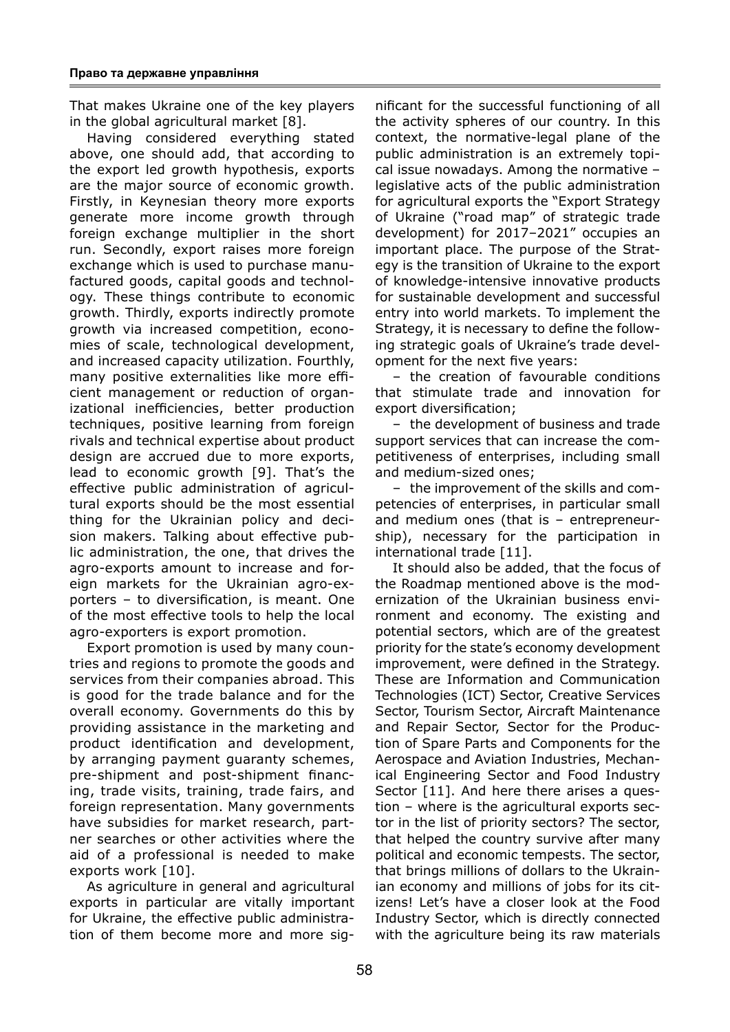That makes Ukraine one of the key players in the global agricultural market [8].

Having considered everything stated above, one should add, that according to the export led growth hypothesis, exports are the major source of economic growth. Firstly, in Keynesian theory more exports generate more income growth through foreign exchange multiplier in the short run. Secondly, export raises more foreign exchange which is used to purchase manufactured goods, capital goods and technology. These things contribute to economic growth. Thirdly, exports indirectly promote growth via increased competition, economies of scale, technological development, and increased capacity utilization. Fourthly, many positive externalities like more efficient management or reduction of organizational inefficiencies, better production techniques, positive learning from foreign rivals and technical expertise about product design are accrued due to more exports, lead to economic growth [9]. That's the effective public administration of agricultural exports should be the most essential thing for the Ukrainian policy and decision makers. Talking about effective public administration, the one, that drives the agro-exports amount to increase and foreign markets for the Ukrainian agro-exporters – to diversification, is meant. One of the most effective tools to help the local agro-exporters is export promotion.

Export promotion is used by many countries and regions to promote the goods and services from their companies abroad. This is good for the trade balance and for the overall economy. Governments do this by providing assistance in the marketing and product identification and development, by arranging payment guaranty schemes, pre-shipment and post-shipment financing, trade visits, training, trade fairs, and foreign representation. Many governments have subsidies for market research, partner searches or other activities where the aid of a professional is needed to make exports work [10].

As agriculture in general and agricultural exports in particular are vitally important for Ukraine, the effective public administration of them become more and more sig-

nificant for the successful functioning of all the activity spheres of our country. In this context, the normative-legal plane of the public administration is an extremely topical issue nowadays. Among the normative – legislative acts of the public administration for agricultural exports the "Export Strategy of Ukraine ("road map" of strategic trade development) for 2017–2021" occupies an important place. The purpose of the Strategy is the transition of Ukraine to the export of knowledge-intensive innovative products for sustainable development and successful entry into world markets. To implement the Strategy, it is necessary to define the following strategic goals of Ukraine's trade development for the next five years:

– the creation of favourable conditions that stimulate trade and innovation for export diversification;

– the development of business and trade support services that can increase the competitiveness of enterprises, including small and medium-sized ones;

– the improvement of the skills and competencies of enterprises, in particular small and medium ones (that is – entrepreneurship), necessary for the participation in international trade [11].

It should also be added, that the focus of the Roadmap mentioned above is the modernization of the Ukrainian business environment and economy. The existing and potential sectors, which are of the greatest priority for the state's economy development improvement, were defined in the Strategy. These are Information and Communication Technologies (ICT) Sector, Creative Services Sector, Tourism Sector, Aircraft Maintenance and Repair Sector, Sector for the Production of Spare Parts and Components for the Aerospace and Aviation Industries, Mechanical Engineering Sector and Food Industry Sector [11]. And here there arises a question – where is the agricultural exports sector in the list of priority sectors? The sector, that helped the country survive after many political and economic tempests. The sector, that brings millions of dollars to the Ukrainian economy and millions of jobs for its citizens! Let's have a closer look at the Food Industry Sector, which is directly connected with the agriculture being its raw materials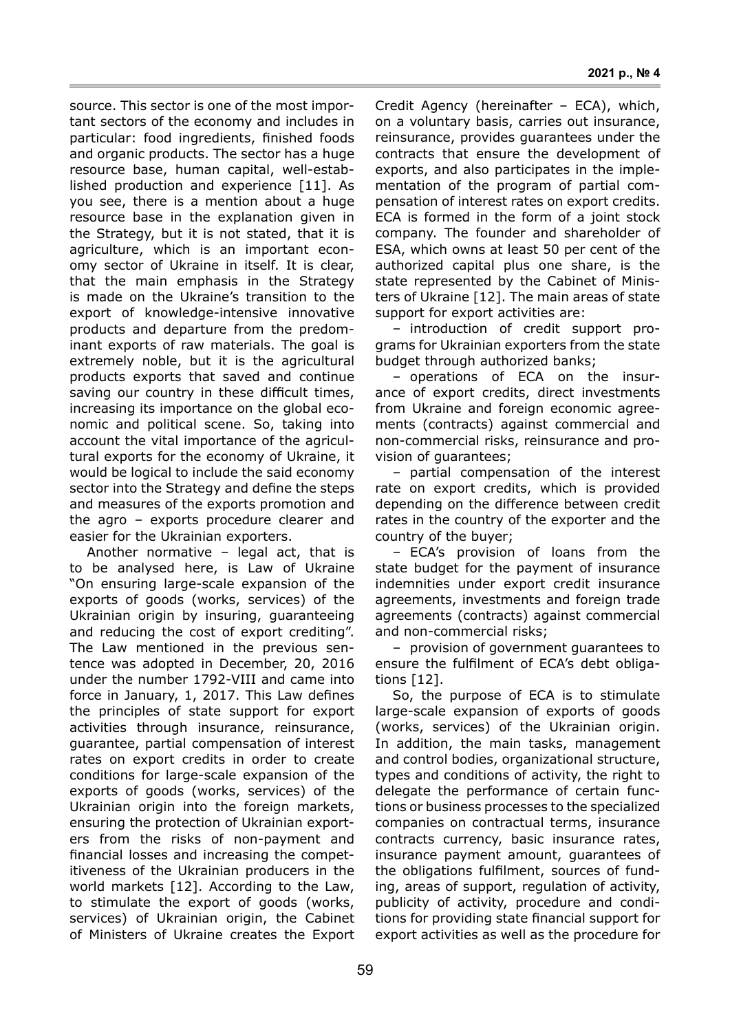source. This sector is one of the most important sectors of the economy and includes in particular: food ingredients, finished foods and organic products. The sector has a huge resource base, human capital, well-established production and experience [11]. As you see, there is a mention about a huge resource base in the explanation given in the Strategy, but it is not stated, that it is agriculture, which is an important economy sector of Ukraine in itself. It is clear, that the main emphasis in the Strategy is made on the Ukraine's transition to the export of knowledge-intensive innovative products and departure from the predominant exports of raw materials. The goal is extremely noble, but it is the agricultural products exports that saved and continue saving our country in these difficult times, increasing its importance on the global economic and political scene. So, taking into account the vital importance of the agricultural exports for the economy of Ukraine, it would be logical to include the said economy sector into the Strategy and define the steps and measures of the exports promotion and the agro – exports procedure clearer and easier for the Ukrainian exporters.

Another normative – legal act, that is to be analysed here, is Law of Ukraine "On ensuring large-scale expansion of the exports of goods (works, services) of the Ukrainian origin by insuring, guaranteeing and reducing the cost of export crediting". The Law mentioned in the previous sentence was adopted in December, 20, 2016 under the number 1792-VIII and came into force in January, 1, 2017. This Law defines the principles of state support for export activities through insurance, reinsurance, guarantee, partial compensation of interest rates on export credits in order to create conditions for large-scale expansion of the exports of goods (works, services) of the Ukrainian origin into the foreign markets, ensuring the protection of Ukrainian exporters from the risks of non-payment and financial losses and increasing the competitiveness of the Ukrainian producers in the world markets [12]. According to the Law, to stimulate the export of goods (works, services) of Ukrainian origin, the Cabinet of Ministers of Ukraine creates the Export

Credit Agency (hereinafter – ECA), which, on a voluntary basis, carries out insurance, reinsurance, provides guarantees under the contracts that ensure the development of exports, and also participates in the implementation of the program of partial compensation of interest rates on export credits. ECA is formed in the form of a joint stock company. The founder and shareholder of ESA, which owns at least 50 per cent of the authorized capital plus one share, is the state represented by the Cabinet of Ministers of Ukraine [12]. The main areas of state support for export activities are:

– introduction of credit support programs for Ukrainian exporters from the state budget through authorized banks;

– operations of ECA on the insurance of export credits, direct investments from Ukraine and foreign economic agreements (contracts) against commercial and non-commercial risks, reinsurance and provision of guarantees;

– partial compensation of the interest rate on export credits, which is provided depending on the difference between credit rates in the country of the exporter and the country of the buyer;

– ECA's provision of loans from the state budget for the payment of insurance indemnities under export credit insurance agreements, investments and foreign trade agreements (contracts) against commercial and non-commercial risks;

– provision of government guarantees to ensure the fulfilment of ECA's debt obligations [12].

So, the purpose of ECA is to stimulate large-scale expansion of exports of goods (works, services) of the Ukrainian origin. In addition, the main tasks, management and control bodies, organizational structure, types and conditions of activity, the right to delegate the performance of certain functions or business processes to the specialized companies on contractual terms, insurance contracts currency, basic insurance rates, insurance payment amount, guarantees of the obligations fulfilment, sources of funding, areas of support, regulation of activity, publicity of activity, procedure and conditions for providing state financial support for export activities as well as the procedure for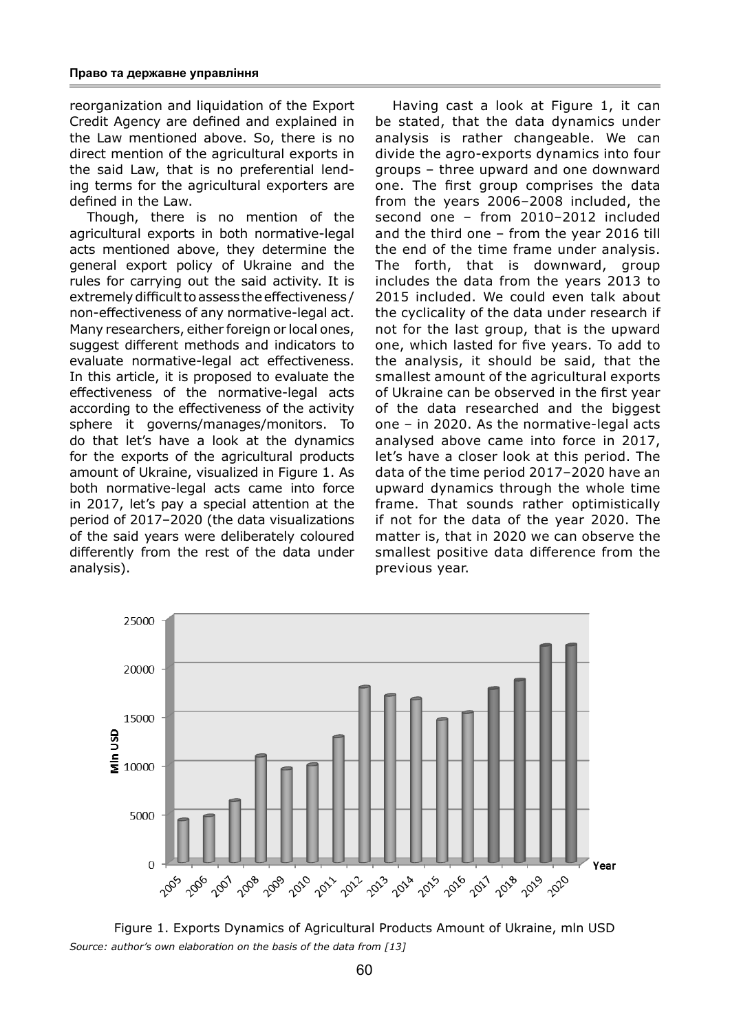reorganization and liquidation of the Export Credit Agency are defined and explained in the Law mentioned above. So, there is no direct mention of the agricultural exports in the said Law, that is no preferential lending terms for the agricultural exporters are defined in the Law.

Though, there is no mention of the agricultural exports in both normative-legal acts mentioned above, they determine the general export policy of Ukraine and the rules for carrying out the said activity. It is extremely difficult to assess the effectiveness / non-effectiveness of any normative-legal act. Many researchers, either foreign or local ones, suggest different methods and indicators to evaluate normative-legal act effectiveness. In this article, it is proposed to evaluate the effectiveness of the normative-legal acts according to the effectiveness of the activity sphere it governs/manages/monitors. To do that let's have a look at the dynamics for the exports of the agricultural products amount of Ukraine, visualized in Figure 1. As both normative-legal acts came into force in 2017, let's pay a special attention at the period of 2017–2020 (the data visualizations of the said years were deliberately coloured differently from the rest of the data under analysis).

Having cast a look at Figure 1, it can be stated, that the data dynamics under analysis is rather changeable. We can divide the agro-exports dynamics into four groups – three upward and one downward one. The first group comprises the data from the years 2006–2008 included, the second one – from 2010–2012 included and the third one – from the year 2016 till the end of the time frame under analysis. The forth, that is downward, group includes the data from the years 2013 to 2015 included. We could even talk about the cyclicality of the data under research if not for the last group, that is the upward one, which lasted for five years. To add to the analysis, it should be said, that the smallest amount of the agricultural exports of Ukraine can be observed in the first year of the data researched and the biggest one – in 2020. As the normative-legal acts analysed above came into force in 2017, let's have a closer look at this period. The data of the time period 2017–2020 have an upward dynamics through the whole time frame. That sounds rather optimistically if not for the data of the year 2020. The matter is, that in 2020 we can observe the smallest positive data difference from the previous year.



Figure 1. Exports Dynamics of Agricultural Products Amount of Ukraine, mln USD *Source: author's own elaboration on the basis of the data from [13]*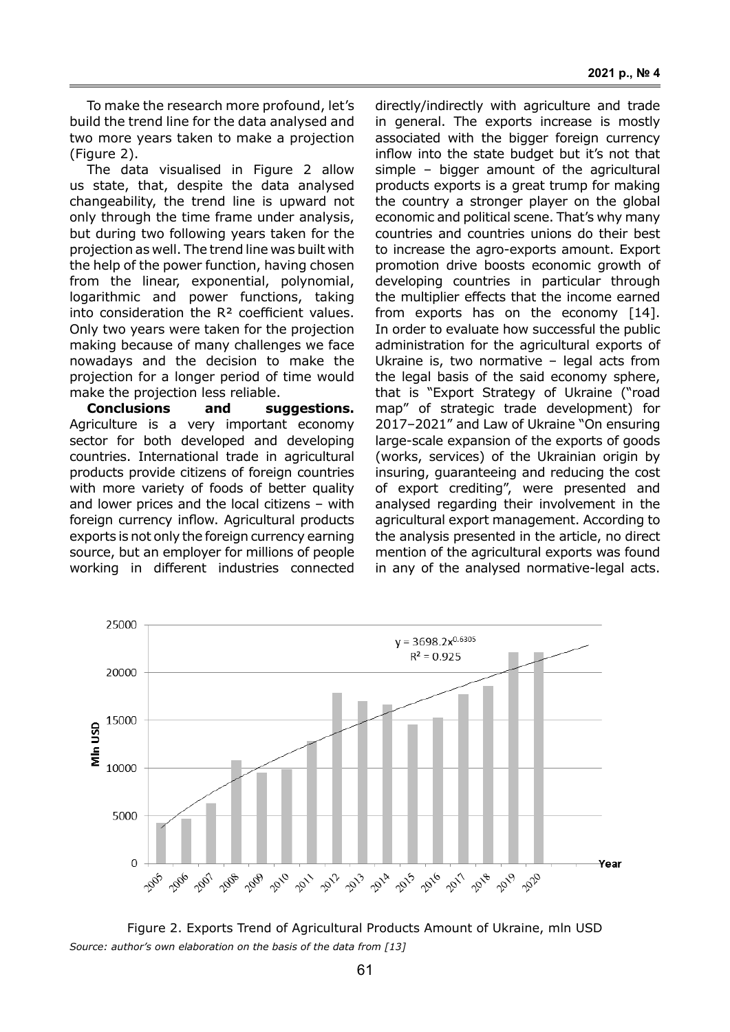To make the research more profound, let's build the trend line for the data analysed and two more years taken to make a projection (Figure 2).

The data visualised in Figure 2 allow us state, that, despite the data analysed changeability, the trend line is upward not only through the time frame under analysis, but during two following years taken for the projection as well. The trend line was built with the help of the power function, having chosen from the linear, exponential, polynomial, logarithmic and power functions, taking into consideration the R² coefficient values. Only two years were taken for the projection making because of many challenges we face nowadays and the decision to make the projection for a longer period of time would make the projection less reliable.

**Conclusions and suggestions.**  Agriculture is a very important economy sector for both developed and developing countries. International trade in agricultural products provide citizens of foreign countries with more variety of foods of better quality and lower prices and the local citizens – with foreign currency inflow. Agricultural products exports is not only the foreign currency earning source, but an employer for millions of people working in different industries connected

directly/indirectly with agriculture and trade in general. The exports increase is mostly associated with the bigger foreign currency inflow into the state budget but it's not that simple – bigger amount of the agricultural products exports is a great trump for making the country a stronger player on the global economic and political scene. That's why many countries and countries unions do their best to increase the agro-exports amount. Export promotion drive boosts economic growth of developing countries in particular through the multiplier effects that the income earned from exports has on the economy [14]. In order to evaluate how successful the public administration for the agricultural exports of Ukraine is, two normative – legal acts from the legal basis of the said economy sphere, that is "Export Strategy of Ukraine ("road map" of strategic trade development) for 2017–2021" and Law of Ukraine "On ensuring large-scale expansion of the exports of goods (works, services) of the Ukrainian origin by insuring, guaranteeing and reducing the cost of export crediting", were presented and analysed regarding their involvement in the agricultural export management. According to the analysis presented in the article, no direct mention of the agricultural exports was found in any of the analysed normative-legal acts.



Figure 2. Exports Trend of Agricultural Products Amount of Ukraine, mln USD *Source: author's own elaboration on the basis of the data from [13]*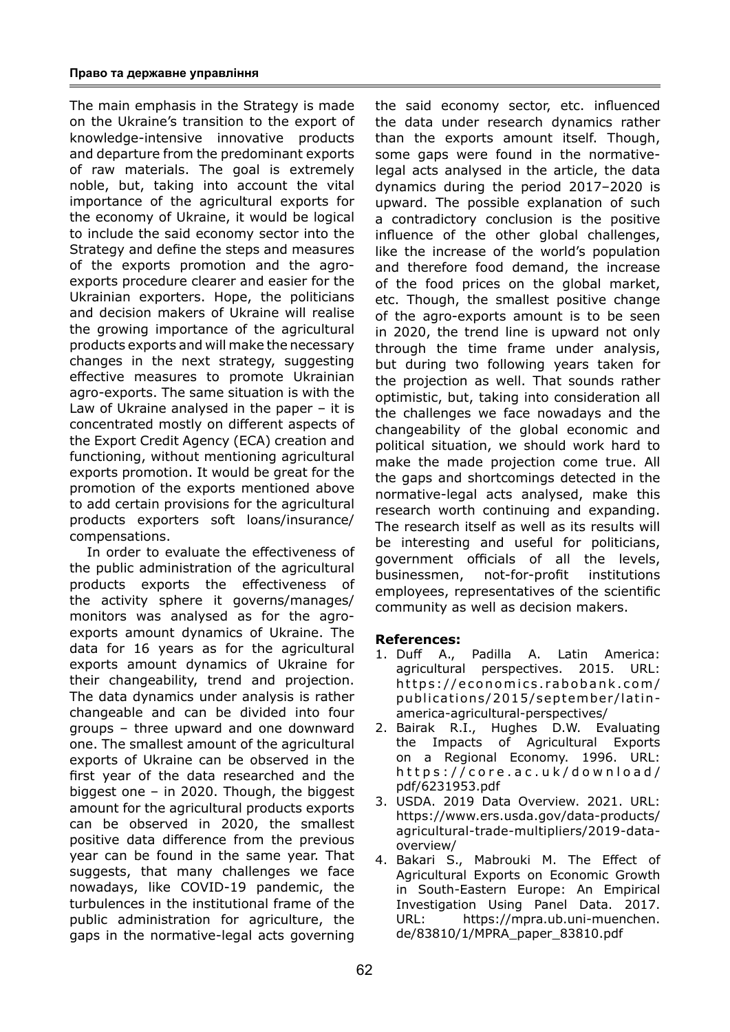The main emphasis in the Strategy is made on the Ukraine's transition to the export of knowledge-intensive innovative products and departure from the predominant exports of raw materials. The goal is extremely noble, but, taking into account the vital importance of the agricultural exports for the economy of Ukraine, it would be logical to include the said economy sector into the Strategy and define the steps and measures of the exports promotion and the agroexports procedure clearer and easier for the Ukrainian exporters. Hope, the politicians and decision makers of Ukraine will realise the growing importance of the agricultural products exports and will make the necessary changes in the next strategy, suggesting effective measures to promote Ukrainian agro-exports. The same situation is with the Law of Ukraine analysed in the paper – it is concentrated mostly on different aspects of the Export Credit Agency (ECA) creation and functioning, without mentioning agricultural exports promotion. It would be great for the promotion of the exports mentioned above to add certain provisions for the agricultural products exporters soft loans/insurance/ compensations.

In order to evaluate the effectiveness of the public administration of the agricultural products exports the effectiveness of the activity sphere it governs/manages/ monitors was analysed as for the agroexports amount dynamics of Ukraine. The data for 16 years as for the agricultural exports amount dynamics of Ukraine for their changeability, trend and projection. The data dynamics under analysis is rather changeable and can be divided into four groups – three upward and one downward one. The smallest amount of the agricultural exports of Ukraine can be observed in the first year of the data researched and the biggest one – in 2020. Though, the biggest amount for the agricultural products exports can be observed in 2020, the smallest positive data difference from the previous year can be found in the same year. That suggests, that many challenges we face nowadays, like COVID-19 pandemic, the turbulences in the institutional frame of the public administration for agriculture, the gaps in the normative-legal acts governing the said economy sector, etc. influenced the data under research dynamics rather than the exports amount itself. Though, some gaps were found in the normativelegal acts analysed in the article, the data dynamics during the period 2017–2020 is upward. The possible explanation of such a contradictory conclusion is the positive influence of the other global challenges, like the increase of the world's population and therefore food demand, the increase of the food prices on the global market, etc. Though, the smallest positive change of the agro-exports amount is to be seen in 2020, the trend line is upward not only through the time frame under analysis, but during two following years taken for the projection as well. That sounds rather optimistic, but, taking into consideration all the challenges we face nowadays and the changeability of the global economic and political situation, we should work hard to make the made projection come true. All the gaps and shortcomings detected in the normative-legal acts analysed, make this research worth continuing and expanding. The research itself as well as its results will be interesting and useful for politicians, government officials of all the levels, businessmen, not-for-profit institutions employees, representatives of the scientific community as well as decision makers.

# **References:**

- 1. Duff A., Padilla A. Latin America: agricultural perspectives. 2015. URL: https://economics.rabobank.com/ publications/2015/september/latinamerica-agricultural-perspectives/
- 2. Bairak R.I., Hughes D.W. Evaluating the Impacts of Agricultural Exports on a Regional Economy. 1996. URL: https://core.ac.uk/download/ pdf/6231953.pdf
- 3. USDA. 2019 Data Overview. 2021. URL: https://www.ers.usda.gov/data-products/ agricultural-trade-multipliers/2019-dataoverview/
- 4. Bakari S., Mabrouki M. The Effect of Agricultural Exports on Economic Growth in South-Eastern Europe: An Empirical Investigation Using Panel Data. 2017. URL: https://mpra.ub.uni-muenchen. de/83810/1/MPRA\_paper\_83810.pdf